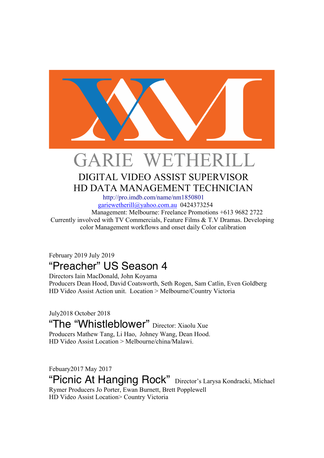

# GARIE WETHERILL DIGITAL VIDEO ASSIST SUPERVISOR

# HD DATA MANAGEMENT TECHNICIAN http://pro.imdb.com/name/nm1850801

gariewetherill@yahoo.com.au 0424373254

 Management: Melbourne: Freelance Promotions +613 9682 2722 Currently involved with TV Commercials, Feature Films & T.V Dramas. Developing color Management workflows and onset daily Color calibration

#### February 2019 July 2019 "Preacher" US Season 4

Directors Iain MacDonald, John Koyama Producers Dean Hood, David Coatsworth, Seth Rogen, Sam Catlin, Even Goldberg HD Video Assist Action unit. Location > Melbourne/Country Victoria

July2018 October 2018 "The "Whistleblower" Director: Xiaolu Xue Producers Mathew Tang, Li Hao, Johney Wang, Dean Hood. HD Video Assist Location > Melbourne/china/Malawi.

Febuary2017 May 2017

"Picnic At Hanging Rock" Director's Larysa Kondracki, Michael Rymer Producers Jo Porter, Ewan Burnett, Brett Popplewell HD Video Assist Location> Country Victoria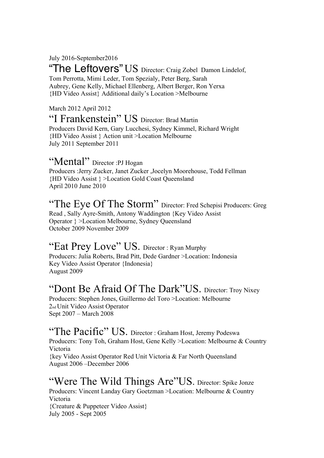July 2016-September2016

"The Leftovers" US Director: Craig Zobel Damon Lindelof, Tom Perrotta, Mimi Leder, Tom Spezialy, Peter Berg, Sarah Aubrey, Gene Kelly, Michael Ellenberg, Albert Berger, Ron Yerxa {HD Video Assist} Additional daily's Location >Melbourne

March 2012 April 2012 "I Frankenstein" US Director: Brad Martin Producers David Kern, Gary Lucchesi, Sydney Kimmel, Richard Wright {HD Video Assist } Action unit >Location Melbourne July 2011 September 2011

## "Mental" Director :PJ Hogan

Producers :Jerry Zucker, Janet Zucker ,Jocelyn Moorehouse, Todd Fellman {HD Video Assist } >Location Gold Coast Queensland April 2010 June 2010

#### "The Eye Of The Storm" Director: Fred Schepisi Producers: Greg Read , Sally Ayre-Smith, Antony Waddington {Key Video Assist Operator } >Location Melbourne, Sydney Queensland October 2009 November 2009

## "Eat Prey Love" US. Director: Ryan Murphy

Producers: Julia Roberts, Brad Pitt, Dede Gardner >Location: Indonesia Key Video Assist Operator {Indonesia} August 2009

# "Dont Be Afraid Of The Dark"US. Director: Troy Nixey

Producers: Stephen Jones, Guillermo del Toro >Location: Melbourne 2nd Unit Video Assist Operator Sept 2007 – March 2008

#### "The Pacific" US. Director: Graham Host, Jeremy Podeswa Producers: Tony Toh, Graham Host, Gene Kelly >Location: Melbourne & Country Victoria {key Video Assist Operator Red Unit Victoria & Far North Queensland August 2006 –December 2006

#### "Were The Wild Things Are"US. Director: Spike Jonze Producers: Vincent Landay Gary Goetzman >Location: Melbourne & Country Victoria {Creature & Puppeteer Video Assist} July 2005 - Sept 2005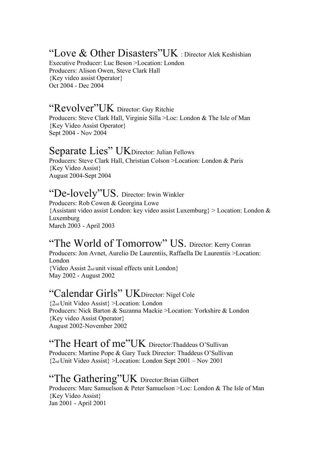## "Love & Other Disasters"UK : Director Alek Keshishian

Executive Producer: Luc Beson >Location: London Producers: Alison Owen, Steve Clark Hall {Key video assist Operator} Oct 2004 - Dec 2004

## "Revolver"UK Director: Guy Ritchie

Producers: Steve Clark Hall, Virginie Silla >Loc: London & The Isle of Man {Key Video Assist Operator} Sept 2004 - Nov 2004

#### Separate Lies" UKDirector: Julian Fellows

Producers: Steve Clark Hall, Christian Colson >Location: London & Paris {Key Video Assist} August 2004-Sept 2004

#### "De-lovely"US. Director: Irwin Winkler

Producers: Rob Cowen & Georgina Lowe {Assistant video assist London: key video assist Luxemburg} > Location: London & Luxemburg March 2003 - April 2003

## "The World of Tomorrow" US. Director: Kerry Conran

Producers: Jon Avnet, Aurelio De Laurentiis, Raffaella De Laurentiis >Location: London {Video Assist 2nd unit visual effects unit London} May 2002 - August 2002

## "Calendar Girls" UKDirector: Nigel Cole

{2nd Unit Video Assist} >Location: London Producers: Nick Barton & Suzanna Mackie >Location: Yorkshire & London {Key video Assist Operator} August 2002-November 2002

#### "The Heart of me"UK Director: Thaddeus O'Sullivan

Producers: Martine Pope & Gary Tuck Director: Thaddeus O'Sullivan {2nd Unit Video Assist} >Location: London Sept 2001 – Nov 2001

### "The Gathering"UK Director:Brian Gilbert

Producers: Marc Samuelson & Peter Samuelson >Loc: London & The Isle of Man {Key Video Assist} Jan 2001 - April 2001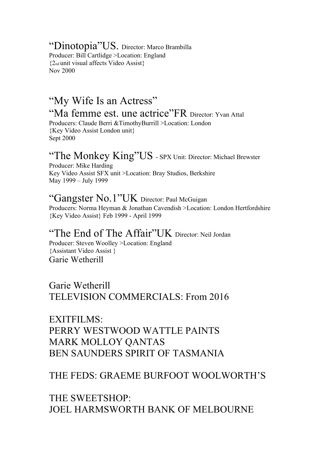"Dinotopia"US. Director: Marco Brambilla Producer: Bill Cartlidge >Location: England {2nd unit visual affects Video Assist} Nov 2000

## "My Wife Is an Actress" "Ma femme est. une actrice"FR Director: Yvan Attal

Producers: Claude Berri &TimothyBurrill >Location: London {Key Video Assist London unit} Sept 2000

## "The Monkey King"US - SPX Unit: Director: Michael Brewster

Producer: Mike Harding Key Video Assist SFX unit >Location: Bray Studios, Berkshire May 1999 – July 1999

#### "Gangster No.1"UK Director: Paul McGuigan

Producers: Norma Heyman & Jonathan Cavendish >Location: London Hertfordshire {Key Video Assist} Feb 1999 - April 1999

## "The End of The Affair"UK Director: Neil Jordan

Producer: Steven Woolley >Location: England {Assistant Video Assist } Garie Wetherill

Garie Wetherill TELEVISION COMMERCIALS: From 2016

EXITFILMS: PERRY WESTWOOD WATTLE PAINTS MARK MOLLOY QANTAS BEN SAUNDERS SPIRIT OF TASMANIA

#### THE FEDS: GRAEME BURFOOT WOOLWORTH'S

THE SWEETSHOP: JOEL HARMSWORTH BANK OF MELBOURNE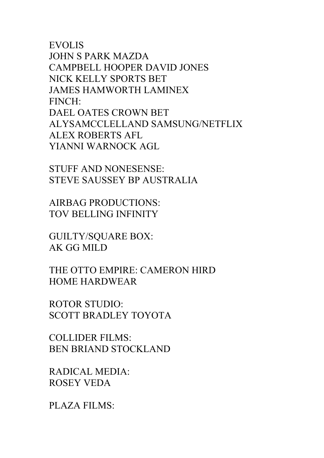EVOLIS JOHN S PARK MAZDA CAMPBELL HOOPER DAVID JONES NICK KELLY SPORTS BET JAMES HAMWORTH LAMINEX FINCH: DAEL OATES CROWN BET ALYSAMCCLELLAND SAMSUNG/NETFLIX ALEX ROBERTS AFL YIANNI WARNOCK AGL

STUFF AND NONESENSE: STEVE SAUSSEY BP AUSTRALIA

AIRBAG PRODUCTIONS: TOV BELLING INFINITY

GUILTY/SQUARE BOX: AK GG MILD

THE OTTO EMPIRE: CAMERON HIRD HOME HARDWEAR

ROTOR STUDIO: SCOTT BRADLEY TOYOTA

COLLIDER FILMS: BEN BRIAND STOCKLAND

RADICAL MEDIA: ROSEY VEDA

PLAZA FILMS: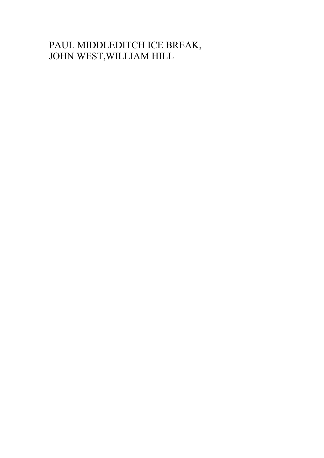## PAUL MIDDLEDITCH ICE BREAK, JOHN WEST,WILLIAM HILL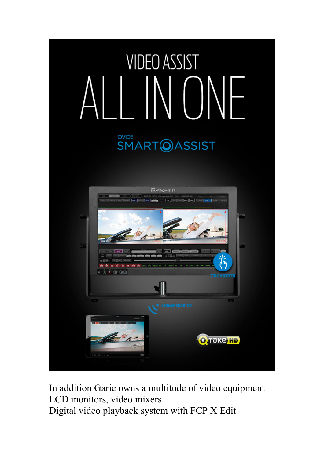

In addition Garie owns a multitude of video equipment LCD monitors, video mixers.

Digital video playback system with FCP X Edit